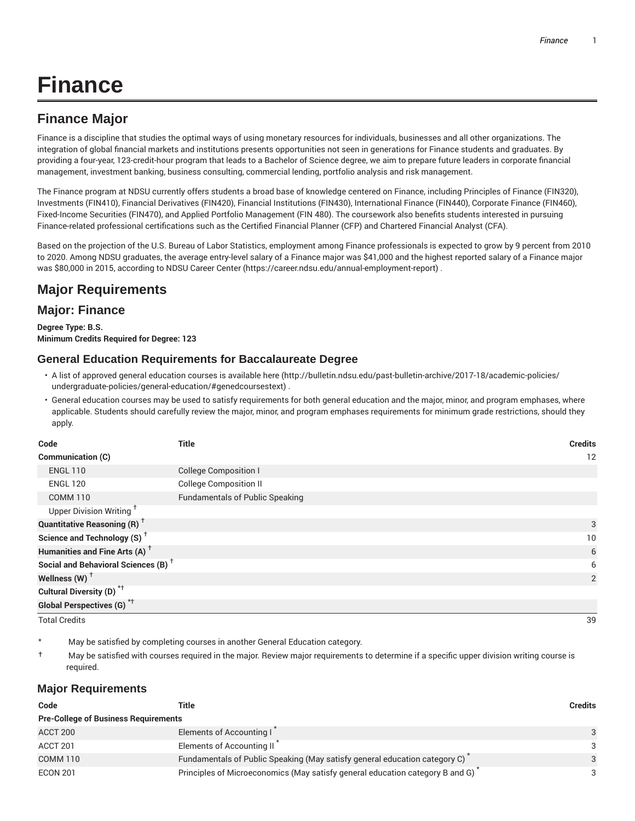# **Finance**

## **Finance Major**

Finance is a discipline that studies the optimal ways of using monetary resources for individuals, businesses and all other organizations. The integration of global financial markets and institutions presents opportunities not seen in generations for Finance students and graduates. By providing a four-year, 123-credit-hour program that leads to a Bachelor of Science degree, we aim to prepare future leaders in corporate financial management, investment banking, business consulting, commercial lending, portfolio analysis and risk management.

The Finance program at NDSU currently offers students a broad base of knowledge centered on Finance, including Principles of Finance (FIN320), Investments (FIN410), Financial Derivatives (FIN420), Financial Institutions (FIN430), International Finance (FIN440), Corporate Finance (FIN460), Fixed-Income Securities (FIN470), and Applied Portfolio Management (FIN 480). The coursework also benefits students interested in pursuing Finance-related professional certifications such as the Certified Financial Planner (CFP) and Chartered Financial Analyst (CFA).

Based on the projection of the U.S. Bureau of Labor Statistics, employment among Finance professionals is expected to grow by 9 percent from 2010 to 2020. Among NDSU graduates, the average entry-level salary of a Finance major was \$41,000 and the highest reported salary of a Finance major was \$80,000 in 2015, according to NDSU Career Center (https://career.ndsu.edu/annual-employment-report) .

## **Major Requirements**

### **Major: Finance**

**Degree Type: B.S. Minimum Credits Required for Degree: 123**

#### **General Education Requirements for Baccalaureate Degree**

- A list of approved general education courses is available here (http://bulletin.ndsu.edu/past-bulletin-archive/2017-18/academic-policies/ undergraduate-policies/general-education/#genedcoursestext) .
- General education courses may be used to satisfy requirements for both general education and the major, minor, and program emphases, where applicable. Students should carefully review the major, minor, and program emphases requirements for minimum grade restrictions, should they apply.

| Code                                            | <b>Title</b>                           | <b>Credits</b> |
|-------------------------------------------------|----------------------------------------|----------------|
| Communication (C)                               |                                        | 12             |
| <b>ENGL 110</b>                                 | <b>College Composition I</b>           |                |
| <b>ENGL 120</b>                                 | <b>College Composition II</b>          |                |
| <b>COMM 110</b>                                 | <b>Fundamentals of Public Speaking</b> |                |
| Upper Division Writing <sup>+</sup>             |                                        |                |
| <b>Quantitative Reasoning (R)</b> <sup>†</sup>  |                                        | 3              |
| Science and Technology (S) <sup>+</sup>         |                                        | 10             |
| Humanities and Fine Arts (A) <sup>+</sup>       |                                        | 6              |
| Social and Behavioral Sciences (B) <sup>+</sup> |                                        | 6              |
| Wellness $(W)$ <sup>+</sup>                     |                                        | 2              |
| Cultural Diversity (D) <sup>*†</sup>            |                                        |                |
| Global Perspectives (G) <sup>*†</sup>           |                                        |                |

Total Credits 39

May be satisfied by completing courses in another General Education category.

† May be satisfied with courses required in the major. Review major requirements to determine if a specific upper division writing course is required.

#### **Major Requirements**

| Code                                        | Title                                                                         | <b>Credits</b> |
|---------------------------------------------|-------------------------------------------------------------------------------|----------------|
| <b>Pre-College of Business Requirements</b> |                                                                               |                |
| ACCT 200                                    | Elements of Accounting I                                                      | 3              |
| ACCT 201                                    | Elements of Accounting II <sup>7</sup>                                        | 3              |
| COMM <sub>110</sub>                         | Fundamentals of Public Speaking (May satisfy general education category C)    | 3              |
| <b>ECON 201</b>                             | Principles of Microeconomics (May satisfy general education category B and G) | ₽              |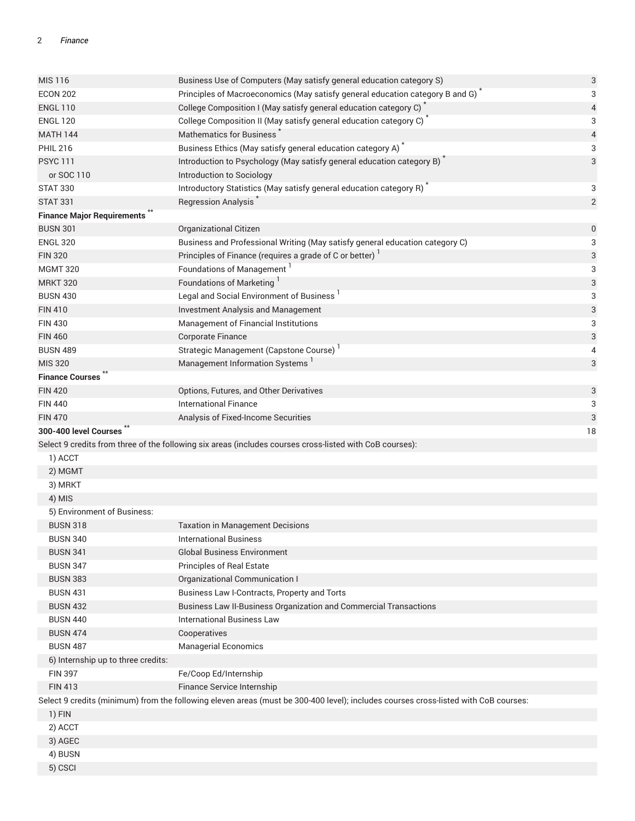#### 2 *Finance*

| <b>MIS 116</b>                     | Business Use of Computers (May satisfy general education category S)                                                                | $\ensuremath{\mathsf{3}}$ |
|------------------------------------|-------------------------------------------------------------------------------------------------------------------------------------|---------------------------|
| <b>ECON 202</b>                    | Principles of Macroeconomics (May satisfy general education category B and G)                                                       | 3                         |
| <b>ENGL 110</b>                    | College Composition I (May satisfy general education category C)                                                                    | $\overline{4}$            |
| <b>ENGL 120</b>                    | College Composition II (May satisfy general education category C) <sup>*</sup>                                                      | 3                         |
| <b>MATH 144</b>                    | Mathematics for Business                                                                                                            | 4                         |
| <b>PHIL 216</b>                    | Business Ethics (May satisfy general education category A)                                                                          | 3                         |
| <b>PSYC 111</b>                    | Introduction to Psychology (May satisfy general education category B)                                                               | 3                         |
| or SOC 110                         | Introduction to Sociology                                                                                                           |                           |
| <b>STAT 330</b>                    | Introductory Statistics (May satisfy general education category R)                                                                  | 3                         |
| <b>STAT 331</b>                    | Regression Analysis                                                                                                                 | $\overline{2}$            |
| <b>Finance Major Requirements</b>  |                                                                                                                                     |                           |
| <b>BUSN 301</b>                    | Organizational Citizen                                                                                                              | $\boldsymbol{0}$          |
| <b>ENGL 320</b>                    | Business and Professional Writing (May satisfy general education category C)                                                        | 3                         |
| <b>FIN 320</b>                     | Principles of Finance (requires a grade of C or better) <sup>1</sup>                                                                | 3                         |
| <b>MGMT 320</b>                    | Foundations of Management                                                                                                           | 3                         |
| <b>MRKT 320</b>                    | Foundations of Marketing <sup>1</sup>                                                                                               | 3                         |
| <b>BUSN 430</b>                    | Legal and Social Environment of Business                                                                                            | 3                         |
| <b>FIN 410</b>                     | <b>Investment Analysis and Management</b>                                                                                           | 3                         |
| <b>FIN 430</b>                     | Management of Financial Institutions                                                                                                | 3                         |
| <b>FIN 460</b>                     | <b>Corporate Finance</b>                                                                                                            | 3                         |
| <b>BUSN 489</b>                    | Strategic Management (Capstone Course)                                                                                              | 4                         |
| <b>MIS 320</b>                     | Management Information Systems 1                                                                                                    | 3                         |
| <b>Finance Courses</b>             |                                                                                                                                     |                           |
| <b>FIN 420</b>                     | Options, Futures, and Other Derivatives                                                                                             | 3                         |
| <b>FIN 440</b>                     | <b>International Finance</b>                                                                                                        | 3                         |
| <b>FIN 470</b>                     | Analysis of Fixed-Income Securities                                                                                                 | 3                         |
| 300-400 level Courses              |                                                                                                                                     | 18                        |
|                                    | Select 9 credits from three of the following six areas (includes courses cross-listed with CoB courses):                            |                           |
| 1) ACCT                            |                                                                                                                                     |                           |
| 2) MGMT                            |                                                                                                                                     |                           |
| 3) MRKT                            |                                                                                                                                     |                           |
| 4) MIS                             |                                                                                                                                     |                           |
| 5) Environment of Business:        |                                                                                                                                     |                           |
| <b>BUSN 318</b>                    | <b>Taxation in Management Decisions</b>                                                                                             |                           |
| <b>BUSN 340</b>                    | <b>International Business</b>                                                                                                       |                           |
| <b>BUSN 341</b>                    | <b>Global Business Environment</b>                                                                                                  |                           |
| <b>BUSN 347</b>                    | <b>Principles of Real Estate</b>                                                                                                    |                           |
| <b>BUSN 383</b>                    | Organizational Communication I                                                                                                      |                           |
| <b>BUSN 431</b>                    | Business Law I-Contracts, Property and Torts                                                                                        |                           |
| <b>BUSN 432</b>                    | Business Law II-Business Organization and Commercial Transactions                                                                   |                           |
| <b>BUSN 440</b>                    | <b>International Business Law</b>                                                                                                   |                           |
| <b>BUSN 474</b>                    | Cooperatives                                                                                                                        |                           |
| <b>BUSN 487</b>                    | <b>Managerial Economics</b>                                                                                                         |                           |
| 6) Internship up to three credits: |                                                                                                                                     |                           |
| <b>FIN 397</b>                     | Fe/Coop Ed/Internship                                                                                                               |                           |
| <b>FIN 413</b>                     | Finance Service Internship                                                                                                          |                           |
|                                    | Select 9 credits (minimum) from the following eleven areas (must be 300-400 level); includes courses cross-listed with CoB courses: |                           |
| 1) FIN                             |                                                                                                                                     |                           |
| 2) ACCT                            |                                                                                                                                     |                           |
| 3) AGEC                            |                                                                                                                                     |                           |
| 4) BUSN                            |                                                                                                                                     |                           |
| 5) CSCI                            |                                                                                                                                     |                           |
|                                    |                                                                                                                                     |                           |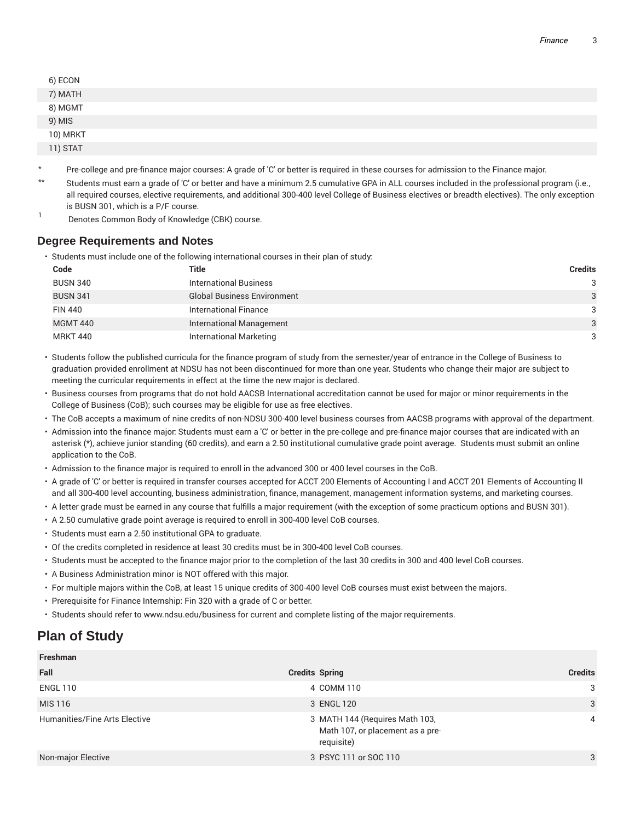| 6) ECON<br>7) MATH<br>8) MGMT<br>9) MIS<br>10) MRKT<br>11) STAT |  |  |
|-----------------------------------------------------------------|--|--|
|                                                                 |  |  |
|                                                                 |  |  |
|                                                                 |  |  |
|                                                                 |  |  |
|                                                                 |  |  |

- \* Pre-college and pre-finance major courses: A grade of 'C' or better is required in these courses for admission to the Finance major.
- \*\* Students must earn a grade of 'C' or better and have a minimum 2.5 cumulative GPA in ALL courses included in the professional program (i.e., all required courses, elective requirements, and additional 300-400 level College of Business electives or breadth electives). The only exception is BUSN 301, which is a P/F course.
- 1 Denotes Common Body of Knowledge (CBK) course.

#### **Degree Requirements and Notes**

• Students must include one of the following international courses in their plan of study:

| Code            | Title                              | <b>Credits</b> |
|-----------------|------------------------------------|----------------|
| <b>BUSN 340</b> | <b>International Business</b>      | 3              |
| <b>BUSN 341</b> | <b>Global Business Environment</b> | 3              |
| <b>FIN 440</b>  | International Finance              | 3              |
| <b>MGMT 440</b> | <b>International Management</b>    | 3              |
| <b>MRKT 440</b> | <b>International Marketing</b>     | 3              |

- Students follow the published curricula for the finance program of study from the semester/year of entrance in the College of Business to graduation provided enrollment at NDSU has not been discontinued for more than one year. Students who change their major are subject to meeting the curricular requirements in effect at the time the new major is declared.
- Business courses from programs that do not hold AACSB International accreditation cannot be used for major or minor requirements in the College of Business (CoB); such courses may be eligible for use as free electives.
- The CoB accepts a maximum of nine credits of non-NDSU 300-400 level business courses from AACSB programs with approval of the department.
- Admission into the finance major: Students must earn a 'C' or better in the pre-college and pre-finance major courses that are indicated with an asterisk (\*), achieve junior standing (60 credits), and earn a 2.50 institutional cumulative grade point average. Students must submit an online application to the CoB.
- Admission to the finance major is required to enroll in the advanced 300 or 400 level courses in the CoB.
- A grade of 'C' or better is required in transfer courses accepted for ACCT 200 Elements of Accounting I and ACCT 201 Elements of Accounting II and all 300-400 level accounting, business administration, finance, management, management information systems, and marketing courses.
- A letter grade must be earned in any course that fulfills a major requirement (with the exception of some practicum options and BUSN 301).
- A 2.50 cumulative grade point average is required to enroll in 300-400 level CoB courses.
- Students must earn a 2.50 institutional GPA to graduate.
- Of the credits completed in residence at least 30 credits must be in 300-400 level CoB courses.
- Students must be accepted to the finance major prior to the completion of the last 30 credits in 300 and 400 level CoB courses.
- A Business Administration minor is NOT offered with this major.
- For multiple majors within the CoB, at least 15 unique credits of 300-400 level CoB courses must exist between the majors.
- Prerequisite for Finance Internship: Fin 320 with a grade of C or better.
- Students should refer to www.ndsu.edu/business for current and complete listing of the major requirements.

## **Plan of Study**

| Freshman                      |                                                                                  |                |
|-------------------------------|----------------------------------------------------------------------------------|----------------|
| Fall                          | <b>Credits Spring</b>                                                            | <b>Credits</b> |
| <b>ENGL 110</b>               | 4 COMM 110                                                                       | 3              |
| MIS 116                       | 3 ENGL 120                                                                       | 3              |
| Humanities/Fine Arts Elective | 3 MATH 144 (Requires Math 103,<br>Math 107, or placement as a pre-<br>requisite) | 4              |
| Non-major Elective            | 3 PSYC 111 or SOC 110                                                            | 3              |